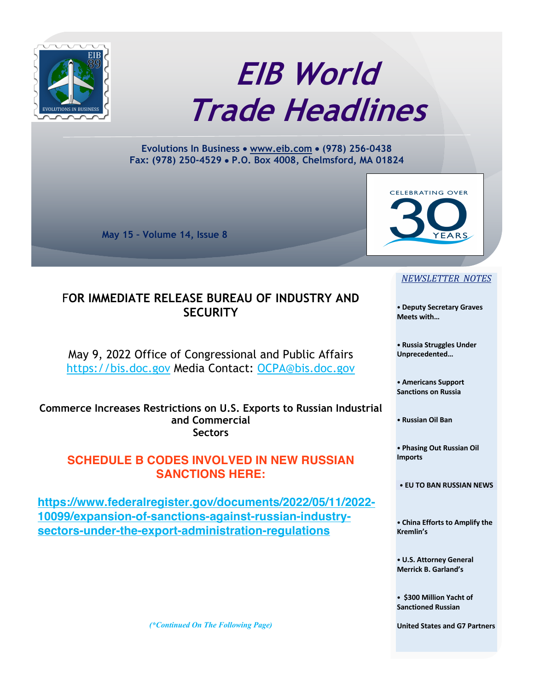

# **EIB World Trade Headlines**

**Evolutions In Business** • **www.eib.com** • **(978) 256-0438 Fax: (978) 250-4529** • **P.O. Box 4008, Chelmsford, MA 01824**

**May 15 – Volume 14, Issue 8**



#### *NEWSLETTER NOTES*

**• Deputy Secretary Graves Meets with…**

**• Russia Struggles Under Unprecedented…**

**• Americans Support Sanctions on Russia**

**• Russian Oil Ban**

**• Phasing Out Russian Oil Imports**

**• EU TO BAN RUSSIAN NEWS**

**• China Efforts to Amplify the Kremlin's**

**• U.S. Attorney General Merrick B. Garland's**

**• \$300 Million Yacht of Sanctioned Russian**

**United States and G7 Partners**

# F**OR IMMEDIATE RELEASE BUREAU OF INDUSTRY AND SECURITY**

May 9, 2022 Office of Congressional and Public Affairs https://bis.doc.gov Media Contact: OCPA@bis.doc.gov

**Commerce Increases Restrictions on U.S. Exports to Russian Industrial and Commercial Sectors**

# **SCHEDULE B CODES INVOLVED IN NEW RUSSIAN SANCTIONS HERE:**

**https://www.federalregister.gov/documents/2022/05/11/2022- 10099/expansion-of-sanctions-against-russian-industrysectors-under-the-export-administration-regulations**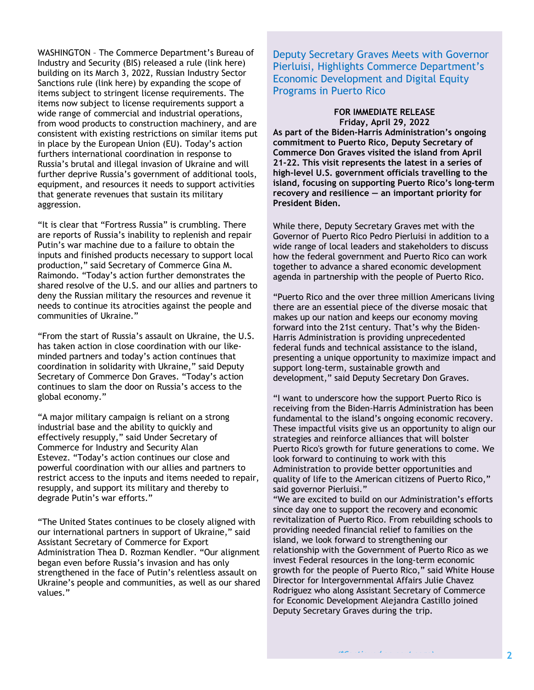WASHINGTON – The Commerce Department's Bureau of Industry and Security (BIS) released a rule (link here) building on its March 3, 2022, Russian Industry Sector Sanctions rule (link here) by expanding the scope of items subject to stringent license requirements. The items now subject to license requirements support a wide range of commercial and industrial operations, from wood products to construction machinery, and are consistent with existing restrictions on similar items put in place by the European Union (EU). Today's action furthers international coordination in response to Russia's brutal and illegal invasion of Ukraine and will further deprive Russia's government of additional tools, equipment, and resources it needs to support activities that generate revenues that sustain its military aggression.

"It is clear that "Fortress Russia" is crumbling. There are reports of Russia's inability to replenish and repair Putin's war machine due to a failure to obtain the inputs and finished products necessary to support local production," said Secretary of Commerce Gina M. Raimondo. "Today's action further demonstrates the shared resolve of the U.S. and our allies and partners to deny the Russian military the resources and revenue it needs to continue its atrocities against the people and communities of Ukraine."

"From the start of Russia's assault on Ukraine, the U.S. has taken action in close coordination with our likeminded partners and today's action continues that coordination in solidarity with Ukraine," said Deputy Secretary of Commerce Don Graves. "Today's action continues to slam the door on Russia's access to the global economy."

"A major military campaign is reliant on a strong industrial base and the ability to quickly and effectively resupply," said Under Secretary of Commerce for Industry and Security Alan Estevez. "Today's action continues our close and powerful coordination with our allies and partners to restrict access to the inputs and items needed to repair, resupply, and support its military and thereby to degrade Putin's war efforts."

"The United States continues to be closely aligned with our international partners in support of Ukraine," said Assistant Secretary of Commerce for Export Administration Thea D. Rozman Kendler. "Our alignment began even before Russia's invasion and has only strengthened in the face of Putin's relentless assault on Ukraine's people and communities, as well as our shared values."

Deputy Secretary Graves Meets with Governor Pierluisi, Highlights Commerce Department's Economic Development and Digital Equity Programs in Puerto Rico

#### **FOR IMMEDIATE RELEASE Friday, April 29, 2022**

**As part of the Biden-Harris Administration's ongoing commitment to Puerto Rico, Deputy Secretary of Commerce Don Graves visited the island from April 21-22. This visit represents the latest in a series of high-level U.S. government officials travelling to the island, focusing on supporting Puerto Rico's long-term recovery and resilience — an important priority for President Biden.**

While there, Deputy Secretary Graves met with the Governor of Puerto Rico Pedro Pierluisi in addition to a wide range of local leaders and stakeholders to discuss how the federal government and Puerto Rico can work together to advance a shared economic development agenda in partnership with the people of Puerto Rico.

"Puerto Rico and the over three million Americans living there are an essential piece of the diverse mosaic that makes up our nation and keeps our economy moving forward into the 21st century. That's why the Biden-Harris Administration is providing unprecedented federal funds and technical assistance to the island, presenting a unique opportunity to maximize impact and support long-term, sustainable growth and development," said Deputy Secretary Don Graves.

"I want to underscore how the support Puerto Rico is receiving from the Biden-Harris Administration has been fundamental to the island's ongoing economic recovery. These impactful visits give us an opportunity to align our strategies and reinforce alliances that will bolster Puerto Rico's growth for future generations to come. We look forward to continuing to work with this Administration to provide better opportunities and quality of life to the American citizens of Puerto Rico," said governor Pierluisi."

"We are excited to build on our Administration's efforts since day one to support the recovery and economic revitalization of Puerto Rico. From rebuilding schools to providing needed financial relief to families on the island, we look forward to strengthening our relationship with the Government of Puerto Rico as we invest Federal resources in the long-term economic growth for the people of Puerto Rico," said White House Director for Intergovernmental Affairs Julie Chavez Rodriguez who along Assistant Secretary of Commerce for Economic Development Alejandra Castillo joined Deputy Secretary Graves during the trip.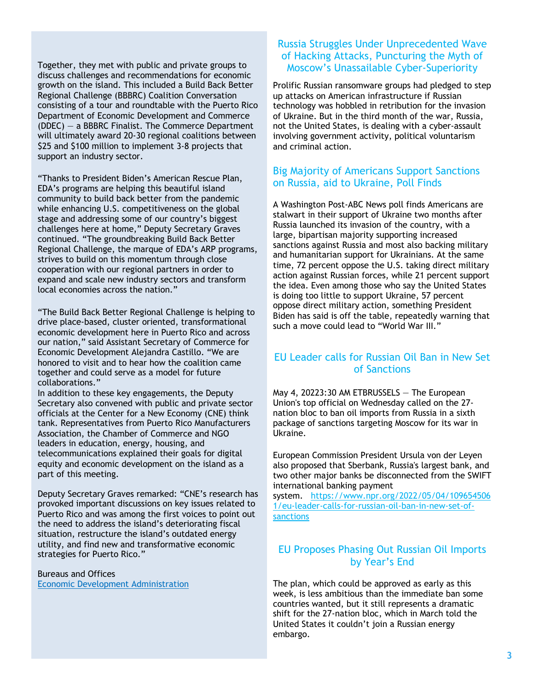Together, they met with public and private groups to discuss challenges and recommendations for economic growth on the island. This included a Build Back Better Regional Challenge (BBBRC) Coalition Conversation consisting of a tour and roundtable with the Puerto Rico Department of Economic Development and Commerce (DDEC) — a BBBRC Finalist. The Commerce Department will ultimately award 20-30 regional coalitions between \$25 and \$100 million to implement 3-8 projects that support an industry sector.

"Thanks to President Biden's American Rescue Plan, EDA's programs are helping this beautiful island community to build back better from the pandemic while enhancing U.S. competitiveness on the global stage and addressing some of our country's biggest challenges here at home," Deputy Secretary Graves continued. "The groundbreaking Build Back Better Regional Challenge, the marque of EDA's ARP programs, strives to build on this momentum through close cooperation with our regional partners in order to expand and scale new industry sectors and transform local economies across the nation."

"The Build Back Better Regional Challenge is helping to drive place-based, cluster oriented, transformational economic development here in Puerto Rico and across our nation," said Assistant Secretary of Commerce for Economic Development Alejandra Castillo. "We are honored to visit and to hear how the coalition came together and could serve as a model for future collaborations."

In addition to these key engagements, the Deputy Secretary also convened with public and private sector officials at the Center for a New Economy (CNE) think tank. Representatives from Puerto Rico Manufacturers Association, the Chamber of Commerce and NGO leaders in education, energy, housing, and telecommunications explained their goals for digital equity and economic development on the island as a part of this meeting.

Deputy Secretary Graves remarked: "CNE's research has provoked important discussions on key issues related to Puerto Rico and was among the first voices to point out the need to address the island's deteriorating fiscal situation, restructure the island's outdated energy utility, and find new and transformative economic strategies for Puerto Rico."

Bureaus and Offices Economic Development Administration

# Russia Struggles Under Unprecedented Wave of Hacking Attacks, Puncturing the Myth of Moscow's Unassailable Cyber-Superiority

Prolific Russian ransomware groups had pledged to step up attacks on American infrastructure if Russian technology was hobbled in retribution for the invasion of Ukraine. But in the third month of the war, Russia, not the United States, is dealing with a cyber-assault involving government activity, political voluntarism and criminal action.

#### Big Majority of Americans Support Sanctions on Russia, aid to Ukraine, Poll Finds

A Washington Post-ABC News poll finds Americans are stalwart in their support of Ukraine two months after Russia launched its invasion of the country, with a large, bipartisan majority supporting increased sanctions against Russia and most also backing military and humanitarian support for Ukrainians. At the same time, 72 percent oppose the U.S. taking direct military action against Russian forces, while 21 percent support the idea. Even among those who say the United States is doing too little to support Ukraine, 57 percent oppose direct military action, something President Biden has said is off the table, repeatedly warning that such a move could lead to "World War III."

# EU Leader calls for Russian Oil Ban in New Set of Sanctions

May 4, 20223:30 AM ETBRUSSELS — The European Union's top official on Wednesday called on the 27 nation bloc to ban oil imports from Russia in a sixth package of sanctions targeting Moscow for its war in Ukraine.

European Commission President Ursula von der Leyen also proposed that Sberbank, Russia's largest bank, and two other major banks be disconnected from the SWIFT international banking payment

system. https://www.npr.org/2022/05/04/109654506 1/eu-leader-calls-for-russian-oil-ban-in-new-set-ofsanctions

# EU Proposes Phasing Out Russian Oil Imports by Year's End

The plan, which could be approved as early as this week, is less ambitious than the immediate ban some countries wanted, but it still represents a dramatic shift for the 27-nation bloc, which in March told the United States it couldn't join a Russian energy embargo.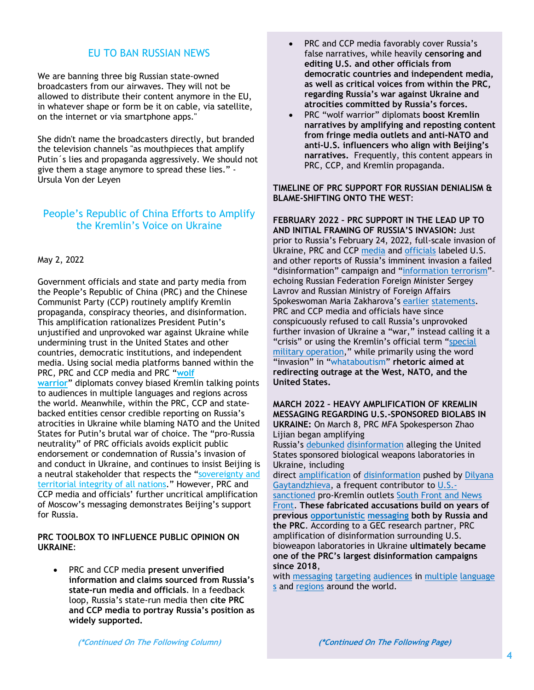#### EU TO BAN RUSSIAN NEWS

We are banning three big Russian state-owned broadcasters from our airwaves. They will not be allowed to distribute their content anymore in the EU, in whatever shape or form be it on cable, via satellite, on the internet or via smartphone apps."

She didn't name the broadcasters directly, but branded the television channels "as mouthpieces that amplify Putin´s lies and propaganda aggressively. We should not give them a stage anymore to spread these lies." - Ursula Von der Leyen

#### People's Republic of China Efforts to Amplify the Kremlin's Voice on Ukraine

#### May 2, 2022

Government officials and state and party media from the People's Republic of China (PRC) and the Chinese Communist Party (CCP) routinely amplify Kremlin propaganda, conspiracy theories, and disinformation. This amplification rationalizes President Putin's unjustified and unprovoked war against Ukraine while undermining trust in the United States and other countries, democratic institutions, and independent media. Using social media platforms banned within the PRC, PRC and CCP media and PRC "**wolf warrior**" diplomats convey biased Kremlin talking points to audiences in multiple languages and regions across the world. Meanwhile, within the PRC, CCP and statebacked entities censor credible reporting on Russia's atrocities in Ukraine while blaming NATO and the United States for Putin's brutal war of choice. The "pro-Russia neutrality" of PRC officials avoids explicit public endorsement or condemnation of Russia's invasion of and conduct in Ukraine, and continues to insist Beijing is a neutral stakeholder that respects the "sovereignty and territorial integrity of all nations." However, PRC and CCP media and officials' further uncritical amplification of Moscow's messaging demonstrates Beijing's support for Russia.

#### **PRC TOOLBOX TO INFLUENCE PUBLIC OPINION ON UKRAINE**:

• PRC and CCP media **present unverified information and claims sourced from Russia's state-run media and officials**. In a feedback loop, Russia's state-run media then **cite PRC and CCP media to portray Russia's position as widely supported.**

- PRC and CCP media favorably cover Russia's false narratives, while heavily **censoring and editing U.S. and other officials from democratic countries and independent media, as well as critical voices from within the PRC, regarding Russia's war against Ukraine and atrocities committed by Russia's forces.**
- PRC "wolf warrior" diplomats **boost Kremlin narratives by amplifying and reposting content from fringe media outlets and anti-NATO and anti-U.S. influencers who align with Beijing's narratives.** Frequently, this content appears in PRC, CCP, and Kremlin propaganda.

#### **TIMELINE OF PRC SUPPORT FOR RUSSIAN DENIALISM & BLAME-SHIFTING ONTO THE WEST**:

**FEBRUARY 2022 – PRC SUPPORT IN THE LEAD UP TO AND INITIAL FRAMING OF RUSSIA'S INVASION:** Just prior to Russia's February 24, 2022, full-scale invasion of Ukraine, PRC and CCP media and officials labeled U.S. and other reports of Russia's imminent invasion a failed "disinformation" campaign and "information terrorism"– echoing Russian Federation Foreign Minister Sergey Lavrov and Russian Ministry of Foreign Affairs Spokeswoman Maria Zakharova's earlier statements. PRC and CCP media and officials have since conspicuously refused to call Russia's unprovoked further invasion of Ukraine a "war," instead calling it a "crisis" or using the Kremlin's official term "special military operation," while primarily using the word "invasion" in "whataboutism" **rhetoric aimed at redirecting outrage at the West, NATO, and the United States.**

#### **MARCH 2022 – HEAVY AMPLIFICATION OF KREMLIN MESSAGING REGARDING U.S.-SPONSORED BIOLABS IN UKRAINE:** On March 8, PRC MFA Spokesperson Zhao Lijian began amplifying

Russia's debunked disinformation alleging the United States sponsored biological weapons laboratories in Ukraine, including

direct amplification of disinformation pushed by Dilyana Gaytandzhieva, a frequent contributor to U.S. sanctioned pro-Kremlin outlets South Front and News Front. **These fabricated accusations build on years of previous opportunistic messaging both by Russia and the PRC**. According to a GEC research partner, PRC amplification of disinformation surrounding U.S. bioweapon laboratories in Ukraine **ultimately became one of the PRC's largest disinformation campaigns since 2018**,

with messaging targeting audiences in multiple language s and regions around the world.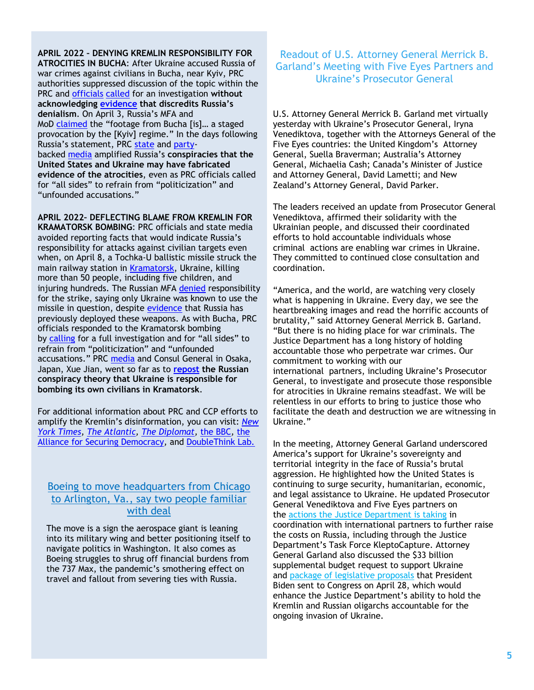**APRIL 2022 – DENYING KREMLIN RESPONSIBILITY FOR ATROCITIES IN BUCHA**: After Ukraine accused Russia of war crimes against civilians in Bucha, near Kyiv, PRC authorities suppressed discussion of the topic within the PRC and officials called for an investigation **without acknowledging evidence that discredits Russia's denialism**. On April 3, Russia's MFA and MoD claimed the "footage from Bucha [is]... a staged provocation by the [Kyiv] regime." In the days following Russia's statement, PRC state and partybacked media amplified Russia's **conspiracies that the United States and Ukraine may have fabricated evidence of the atrocities**, even as PRC officials called for "all sides" to refrain from "politicization" and "unfounded accusations."

**APRIL 2022– DEFLECTING BLAME FROM KREMLIN FOR KRAMATORSK BOMBING**: PRC officials and state media avoided reporting facts that would indicate Russia's responsibility for attacks against civilian targets even when, on April 8, a Tochka-U ballistic missile struck the main railway station in Kramatorsk, Ukraine, killing more than 50 people, including five children, and injuring hundreds. The Russian MFA denied responsibility for the strike, saying only Ukraine was known to use the missile in question, despite evidence that Russia has previously deployed these weapons. As with Bucha, PRC officials responded to the Kramatorsk bombing by calling for a full investigation and for "all sides" to refrain from "politicization" and "unfounded accusations." PRC media and Consul General in Osaka, Japan, Xue Jian, went so far as to **repost the Russian conspiracy theory that Ukraine is responsible for bombing its own civilians in Kramatorsk**.

For additional information about PRC and CCP efforts to amplify the Kremlin's disinformation, you can visit: *New York Times, The Atlantic, The Diplomat,* the BBC*,* the Alliance for Securing Democracy*,* and DoubleThink Lab*.*

### Boeing to move headquarters from Chicago to Arlington, Va., say two people familiar with deal

The move is a sign the aerospace giant is leaning into its military wing and better positioning itself to navigate politics in Washington. It also comes as Boeing struggles to shrug off financial burdens from the 737 Max, the pandemic's smothering effect on travel and fallout from severing ties with Russia.

# Readout of U.S. Attorney General Merrick B. Garland's Meeting with Five Eyes Partners and Ukraine's Prosecutor General

U.S. Attorney General Merrick B. Garland met virtually yesterday with Ukraine's Prosecutor General, Iryna Venediktova, together with the Attorneys General of the Five Eyes countries: the United Kingdom's Attorney General, Suella Braverman; Australia's Attorney General, Michaelia Cash; Canada's Minister of Justice and Attorney General, David Lametti; and New Zealand's Attorney General, David Parker.

The leaders received an update from Prosecutor General Venediktova, affirmed their solidarity with the Ukrainian people, and discussed their coordinated efforts to hold accountable individuals whose criminal actions are enabling war crimes in Ukraine. They committed to continued close consultation and coordination.

"America, and the world, are watching very closely what is happening in Ukraine. Every day, we see the heartbreaking images and read the horrific accounts of brutality," said Attorney General Merrick B. Garland. "But there is no hiding place for war criminals. The Justice Department has a long history of holding accountable those who perpetrate war crimes. Our commitment to working with our international partners, including Ukraine's Prosecutor General, to investigate and prosecute those responsible for atrocities in Ukraine remains steadfast. We will be relentless in our efforts to bring to justice those who facilitate the death and destruction we are witnessing in Ukraine."

In the meeting, Attorney General Garland underscored America's support for Ukraine's sovereignty and territorial integrity in the face of Russia's brutal aggression. He highlighted how the United States is continuing to surge security, humanitarian, economic, and legal assistance to Ukraine. He updated Prosecutor General Venediktova and Five Eyes partners on the actions the Justice Department is taking in coordination with international partners to further raise the costs on Russia, including through the Justice Department's Task Force KleptoCapture. Attorney General Garland also discussed the \$33 billion supplemental budget request to support Ukraine and package of legislative proposals that President Biden sent to Congress on April 28, which would enhance the Justice Department's ability to hold the Kremlin and Russian oligarchs accountable for the ongoing invasion of Ukraine.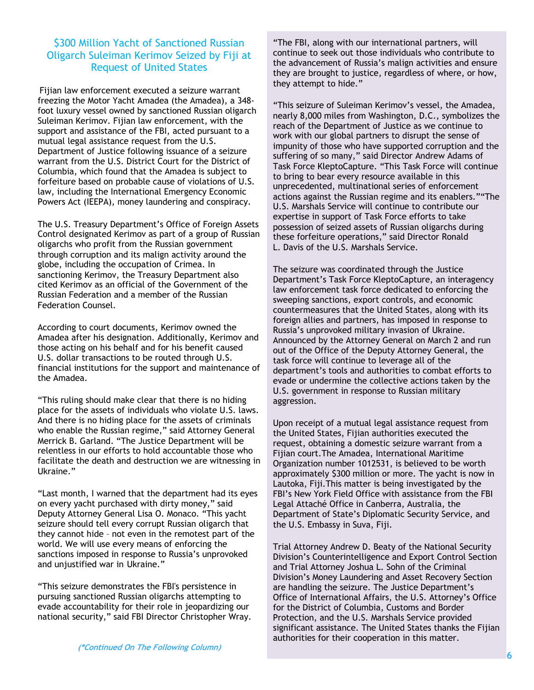# \$300 Million Yacht of Sanctioned Russian Oligarch Suleiman Kerimov Seized by Fiji at Request of United States

Fijian law enforcement executed a seizure warrant freezing the Motor Yacht Amadea (the Amadea), a 348 foot luxury vessel owned by sanctioned Russian oligarch Suleiman Kerimov. Fijian law enforcement, with the support and assistance of the FBI, acted pursuant to a mutual legal assistance request from the U.S. Department of Justice following issuance of a seizure warrant from the U.S. District Court for the District of Columbia, which found that the Amadea is subject to forfeiture based on probable cause of violations of U.S. law, including the International Emergency Economic Powers Act (IEEPA), money laundering and conspiracy.

The U.S. Treasury Department's Office of Foreign Assets Control designated Kerimov as part of a group of Russian oligarchs who profit from the Russian government through corruption and its malign activity around the globe, including the occupation of Crimea. In sanctioning Kerimov, the Treasury Department also cited Kerimov as an official of the Government of the Russian Federation and a member of the Russian Federation Counsel.

According to court documents, Kerimov owned the Amadea after his designation. Additionally, Kerimov and those acting on his behalf and for his benefit caused U.S. dollar transactions to be routed through U.S. financial institutions for the support and maintenance of the Amadea.

"This ruling should make clear that there is no hiding place for the assets of individuals who violate U.S. laws. And there is no hiding place for the assets of criminals who enable the Russian regime," said Attorney General Merrick B. Garland. "The Justice Department will be relentless in our efforts to hold accountable those who facilitate the death and destruction we are witnessing in Ukraine."

"Last month, I warned that the department had its eyes on every yacht purchased with dirty money," said Deputy Attorney General Lisa O. Monaco. "This yacht seizure should tell every corrupt Russian oligarch that they cannot hide – not even in the remotest part of the world. We will use every means of enforcing the sanctions imposed in response to Russia's unprovoked and unjustified war in Ukraine."

"This seizure demonstrates the FBI's persistence in pursuing sanctioned Russian oligarchs attempting to evade accountability for their role in jeopardizing our national security," said FBI Director Christopher Wray.

"The FBI, along with our international partners, will continue to seek out those individuals who contribute to the advancement of Russia's malign activities and ensure they are brought to justice, regardless of where, or how, they attempt to hide."

"This seizure of Suleiman Kerimov's vessel, the Amadea, nearly 8,000 miles from Washington, D.C., symbolizes the reach of the Department of Justice as we continue to work with our global partners to disrupt the sense of impunity of those who have supported corruption and the suffering of so many," said Director Andrew Adams of Task Force KleptoCapture. "This Task Force will continue to bring to bear every resource available in this unprecedented, multinational series of enforcement actions against the Russian regime and its enablers.""The U.S. Marshals Service will continue to contribute our expertise in support of Task Force efforts to take possession of seized assets of Russian oligarchs during these forfeiture operations," said Director Ronald L. Davis of the U.S. Marshals Service.

The seizure was coordinated through the Justice Department's Task Force KleptoCapture, an interagency law enforcement task force dedicated to enforcing the sweeping sanctions, export controls, and economic countermeasures that the United States, along with its foreign allies and partners, has imposed in response to Russia's unprovoked military invasion of Ukraine. Announced by the Attorney General on March 2 and run out of the Office of the Deputy Attorney General, the task force will continue to leverage all of the department's tools and authorities to combat efforts to evade or undermine the collective actions taken by the U.S. government in response to Russian military aggression.

Upon receipt of a mutual legal assistance request from the United States, Fijian authorities executed the request, obtaining a domestic seizure warrant from a Fijian court.The Amadea, International Maritime Organization number 1012531, is believed to be worth approximately \$300 million or more. The yacht is now in Lautoka, Fiji.This matter is being investigated by the FBI's New York Field Office with assistance from the FBI Legal Attaché Office in Canberra, Australia, the Department of State's Diplomatic Security Service, and the U.S. Embassy in Suva, Fiji.

Trial Attorney Andrew D. Beaty of the National Security Division's Counterintelligence and Export Control Section and Trial Attorney Joshua L. Sohn of the Criminal Division's Money Laundering and Asset Recovery Section are handling the seizure. The Justice Department's Office of International Affairs, the U.S. Attorney's Office for the District of Columbia, Customs and Border Protection, and the U.S. Marshals Service provided significant assistance. The United States thanks the Fijian authorities for their cooperation in this matter.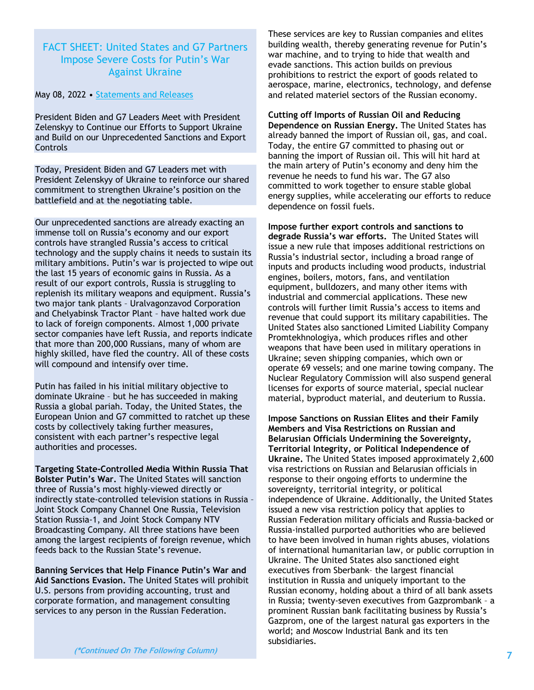# FACT SHEET: United States and G7 Partners Impose Severe Costs for Putin's War Against Ukraine

May 08, 2022 • Statements and Releases

President Biden and G7 Leaders Meet with President Zelenskyy to Continue our Efforts to Support Ukraine and Build on our Unprecedented Sanctions and Export Controls

Today, President Biden and G7 Leaders met with President Zelenskyy of Ukraine to reinforce our shared commitment to strengthen Ukraine's position on the battlefield and at the negotiating table.

Our unprecedented sanctions are already exacting an immense toll on Russia's economy and our export controls have strangled Russia's access to critical technology and the supply chains it needs to sustain its military ambitions. Putin's war is projected to wipe out the last 15 years of economic gains in Russia. As a result of our export controls, Russia is struggling to replenish its military weapons and equipment. Russia's two major tank plants – Uralvagonzavod Corporation and Chelyabinsk Tractor Plant – have halted work due to lack of foreign components. Almost 1,000 private sector companies have left Russia, and reports indicate that more than 200,000 Russians, many of whom are highly skilled, have fled the country. All of these costs will compound and intensify over time.

Putin has failed in his initial military objective to dominate Ukraine – but he has succeeded in making Russia a global pariah. Today, the United States, the European Union and G7 committed to ratchet up these costs by collectively taking further measures, consistent with each partner's respective legal authorities and processes.

**Targeting State-Controlled Media Within Russia That Bolster Putin's War.** The United States will sanction three of Russia's most highly-viewed directly or indirectly state-controlled television stations in Russia – Joint Stock Company Channel One Russia, Television Station Russia-1, and Joint Stock Company NTV Broadcasting Company. All three stations have been among the largest recipients of foreign revenue, which feeds back to the Russian State's revenue.

**Banning Services that Help Finance Putin's War and Aid Sanctions Evasion.** The United States will prohibit U.S. persons from providing accounting, trust and corporate formation, and management consulting services to any person in the Russian Federation.

These services are key to Russian companies and elites building wealth, thereby generating revenue for Putin's war machine, and to trying to hide that wealth and evade sanctions. This action builds on previous prohibitions to restrict the export of goods related to aerospace, marine, electronics, technology, and defense and related materiel sectors of the Russian economy.

**Cutting off Imports of Russian Oil and Reducing Dependence on Russian Energy.** The United States has already banned the import of Russian oil, gas, and coal. Today, the entire G7 committed to phasing out or banning the import of Russian oil. This will hit hard at the main artery of Putin's economy and deny him the revenue he needs to fund his war. The G7 also committed to work together to ensure stable global energy supplies, while accelerating our efforts to reduce dependence on fossil fuels.

**Impose further export controls and sanctions to degrade Russia's war efforts.** The United States will issue a new rule that imposes additional restrictions on Russia's industrial sector, including a broad range of inputs and products including wood products, industrial engines, boilers, motors, fans, and ventilation equipment, bulldozers, and many other items with industrial and commercial applications. These new controls will further limit Russia's access to items and revenue that could support its military capabilities. The United States also sanctioned Limited Liability Company Promtekhnologiya, which produces rifles and other weapons that have been used in military operations in Ukraine; seven shipping companies, which own or operate 69 vessels; and one marine towing company. The Nuclear Regulatory Commission will also suspend general licenses for exports of source material, special nuclear material, byproduct material, and deuterium to Russia.

**Impose Sanctions on Russian Elites and their Family Members and Visa Restrictions on Russian and Belarusian Officials Undermining the Sovereignty, Territorial Integrity, or Political Independence of Ukraine.** The United States imposed approximately 2,600 visa restrictions on Russian and Belarusian officials in response to their ongoing efforts to undermine the sovereignty, territorial integrity, or political independence of Ukraine. Additionally, the United States issued a new visa restriction policy that applies to Russian Federation military officials and Russia-backed or Russia-installed purported authorities who are believed to have been involved in human rights abuses, violations of international humanitarian law, or public corruption in Ukraine. The United States also sanctioned eight executives from Sberbank– the largest financial institution in Russia and uniquely important to the Russian economy, holding about a third of all bank assets in Russia; twenty-seven executives from Gazprombank – a prominent Russian bank facilitating business by Russia's Gazprom, one of the largest natural gas exporters in the world; and Moscow Industrial Bank and its ten subsidiaries.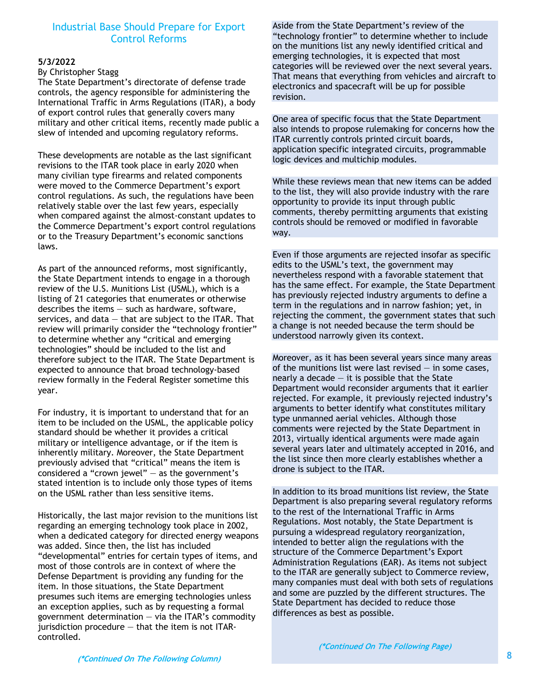#### Industrial Base Should Prepare for Export Control Reforms

#### **5/3/2022**

#### By Christopher Stagg

The State Department's directorate of defense trade controls, the agency responsible for administering the International Traffic in Arms Regulations (ITAR), a body of export control rules that generally covers many military and other critical items, recently made public a slew of intended and upcoming regulatory reforms.

These developments are notable as the last significant revisions to the ITAR took place in early 2020 when many civilian type firearms and related components were moved to the Commerce Department's export control regulations. As such, the regulations have been relatively stable over the last few years, especially when compared against the almost-constant updates to the Commerce Department's export control regulations or to the Treasury Department's economic sanctions laws.

As part of the announced reforms, most significantly, the State Department intends to engage in a thorough review of the U.S. Munitions List (USML), which is a listing of 21 categories that enumerates or otherwise describes the items — such as hardware, software, services, and data  $-$  that are subject to the ITAR. That review will primarily consider the "technology frontier" to determine whether any "critical and emerging technologies" should be included to the list and therefore subject to the ITAR. The State Department is expected to announce that broad technology-based review formally in the Federal Register sometime this year.

For industry, it is important to understand that for an item to be included on the USML, the applicable policy standard should be whether it provides a critical military or intelligence advantage, or if the item is inherently military. Moreover, the State Department previously advised that "critical" means the item is considered a "crown jewel"  $-$  as the government's stated intention is to include only those types of items on the USML rather than less sensitive items.

Historically, the last major revision to the munitions list regarding an emerging technology took place in 2002, when a dedicated category for directed energy weapons was added. Since then, the list has included "developmental" entries for certain types of items, and most of those controls are in context of where the Defense Department is providing any funding for the item. In those situations, the State Department presumes such items are emerging technologies unless an exception applies, such as by requesting a formal government determination  $-$  via the ITAR's commodity jurisdiction procedure — that the item is not ITARcontrolled.

Aside from the State Department's review of the "technology frontier" to determine whether to include on the munitions list any newly identified critical and emerging technologies, it is expected that most categories will be reviewed over the next several years. That means that everything from vehicles and aircraft to electronics and spacecraft will be up for possible revision.

One area of specific focus that the State Department also intends to propose rulemaking for concerns how the ITAR currently controls printed circuit boards, application specific integrated circuits, programmable logic devices and multichip modules.

While these reviews mean that new items can be added to the list, they will also provide industry with the rare opportunity to provide its input through public comments, thereby permitting arguments that existing controls should be removed or modified in favorable way.

Even if those arguments are rejected insofar as specific edits to the USML's text, the government may nevertheless respond with a favorable statement that has the same effect. For example, the State Department has previously rejected industry arguments to define a term in the regulations and in narrow fashion; yet, in rejecting the comment, the government states that such a change is not needed because the term should be understood narrowly given its context.

Moreover, as it has been several years since many areas of the munitions list were last revised  $-$  in some cases, nearly a decade  $-$  it is possible that the State Department would reconsider arguments that it earlier rejected. For example, it previously rejected industry's arguments to better identify what constitutes military type unmanned aerial vehicles. Although those comments were rejected by the State Department in 2013, virtually identical arguments were made again several years later and ultimately accepted in 2016, and the list since then more clearly establishes whether a drone is subject to the ITAR.

In addition to its broad munitions list review, the State Department is also preparing several regulatory reforms to the rest of the International Traffic in Arms Regulations. Most notably, the State Department is pursuing a widespread regulatory reorganization, intended to better align the regulations with the structure of the Commerce Department's Export Administration Regulations (EAR). As items not subject to the ITAR are generally subject to Commerce review, many companies must deal with both sets of regulations and some are puzzled by the different structures. The State Department has decided to reduce those differences as best as possible.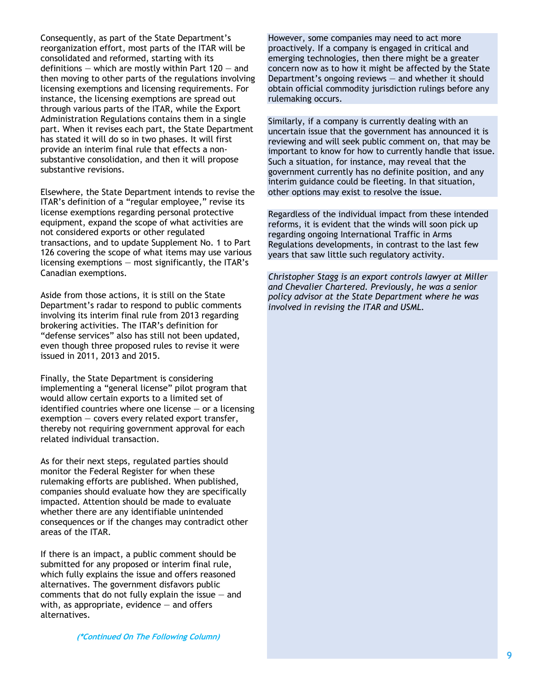Consequently, as part of the State Department's reorganization effort, most parts of the ITAR will be consolidated and reformed, starting with its definitions  $-$  which are mostly within Part 120  $-$  and then moving to other parts of the regulations involving licensing exemptions and licensing requirements. For instance, the licensing exemptions are spread out through various parts of the ITAR, while the Export Administration Regulations contains them in a single part. When it revises each part, the State Department has stated it will do so in two phases. It will first provide an interim final rule that effects a nonsubstantive consolidation, and then it will propose substantive revisions.

Elsewhere, the State Department intends to revise the ITAR's definition of a "regular employee," revise its license exemptions regarding personal protective equipment, expand the scope of what activities are not considered exports or other regulated transactions, and to update Supplement No. 1 to Part 126 covering the scope of what items may use various licensing exemptions  $-$  most significantly, the ITAR's Canadian exemptions.

Aside from those actions, it is still on the State Department's radar to respond to public comments involving its interim final rule from 2013 regarding brokering activities. The ITAR's definition for "defense services" also has still not been updated, even though three proposed rules to revise it were issued in 2011, 2013 and 2015.

Finally, the State Department is considering implementing a "general license" pilot program that would allow certain exports to a limited set of identified countries where one license — or a licensing exemption — covers every related export transfer, thereby not requiring government approval for each related individual transaction.

As for their next steps, regulated parties should monitor the Federal Register for when these rulemaking efforts are published. When published, companies should evaluate how they are specifically impacted. Attention should be made to evaluate whether there are any identifiable unintended consequences or if the changes may contradict other areas of the ITAR.

If there is an impact, a public comment should be submitted for any proposed or interim final rule, which fully explains the issue and offers reasoned alternatives. The government disfavors public comments that do not fully explain the issue  $-$  and with, as appropriate, evidence  $-$  and offers alternatives.

However, some companies may need to act more proactively. If a company is engaged in critical and emerging technologies, then there might be a greater concern now as to how it might be affected by the State Department's ongoing reviews  $-$  and whether it should obtain official commodity jurisdiction rulings before any rulemaking occurs.

Similarly, if a company is currently dealing with an uncertain issue that the government has announced it is reviewing and will seek public comment on, that may be important to know for how to currently handle that issue. Such a situation, for instance, may reveal that the government currently has no definite position, and any interim guidance could be fleeting. In that situation, other options may exist to resolve the issue.

Regardless of the individual impact from these intended reforms, it is evident that the winds will soon pick up regarding ongoing International Traffic in Arms Regulations developments, in contrast to the last few years that saw little such regulatory activity.

*Christopher Stagg is an export controls lawyer at Miller and Chevalier Chartered. Previously, he was a senior policy advisor at the State Department where he was involved in revising the ITAR and USML.*

**(\*Continued On The Following Column)**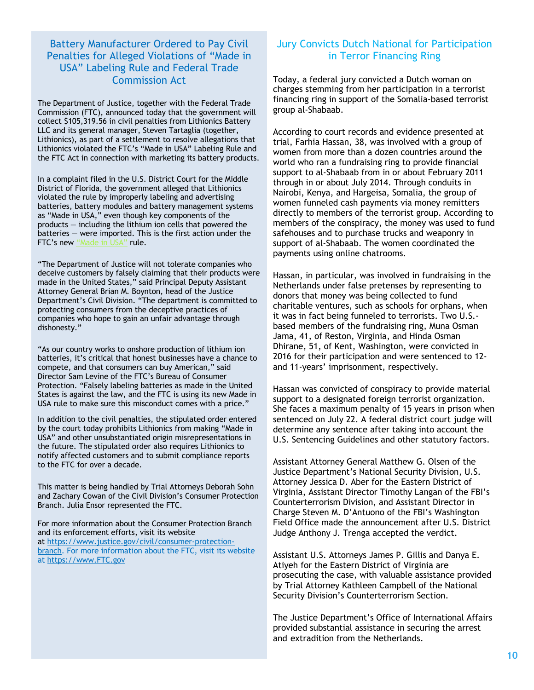# Battery Manufacturer Ordered to Pay Civil Penalties for Alleged Violations of "Made in USA" Labeling Rule and Federal Trade Commission Act

The Department of Justice, together with the Federal Trade Commission (FTC), announced today that the government will collect \$105,319.56 in civil penalties from Lithionics Battery LLC and its general manager, Steven Tartaglia (together, Lithionics), as part of a settlement to resolve allegations that Lithionics violated the FTC's "Made in USA" Labeling Rule and the FTC Act in connection with marketing its battery products.

In a complaint filed in the U.S. District Court for the Middle District of Florida, the government alleged that Lithionics violated the rule by improperly labeling and advertising batteries, battery modules and battery management systems as "Made in USA," even though key components of the products — including the lithium ion cells that powered the batteries — were imported. This is the first action under the FTC's new "Made in USA" rule.

"The Department of Justice will not tolerate companies who deceive customers by falsely claiming that their products were made in the United States," said Principal Deputy Assistant Attorney General Brian M. Boynton, head of the Justice Department's Civil Division. "The department is committed to protecting consumers from the deceptive practices of companies who hope to gain an unfair advantage through dishonesty."

"As our country works to onshore production of lithium ion batteries, it's critical that honest businesses have a chance to compete, and that consumers can buy American," said Director Sam Levine of the FTC's Bureau of Consumer Protection. "Falsely labeling batteries as made in the United States is against the law, and the FTC is using its new Made in USA rule to make sure this misconduct comes with a price."

In addition to the civil penalties, the stipulated order entered by the court today prohibits Lithionics from making "Made in USA" and other unsubstantiated origin misrepresentations in the future. The stipulated order also requires Lithionics to notify affected customers and to submit compliance reports to the FTC for over a decade.

This matter is being handled by Trial Attorneys Deborah Sohn and Zachary Cowan of the Civil Division's Consumer Protection Branch. Julia Ensor represented the FTC.

For more information about the Consumer Protection Branch and its enforcement efforts, visit its website at https://www.justice.gov/civil/consumer-protectionbranch. For more information about the FTC, visit its website at https://www.FTC.gov

# Jury Convicts Dutch National for Participation in Terror Financing Ring

Today, a federal jury convicted a Dutch woman on charges stemming from her participation in a terrorist financing ring in support of the Somalia-based terrorist group al-Shabaab.

According to court records and evidence presented at trial, Farhia Hassan, 38, was involved with a group of women from more than a dozen countries around the world who ran a fundraising ring to provide financial support to al-Shabaab from in or about February 2011 through in or about July 2014. Through conduits in Nairobi, Kenya, and Hargeisa, Somalia, the group of women funneled cash payments via money remitters directly to members of the terrorist group. According to members of the conspiracy, the money was used to fund safehouses and to purchase trucks and weaponry in support of al-Shabaab. The women coordinated the payments using online chatrooms.

Hassan, in particular, was involved in fundraising in the Netherlands under false pretenses by representing to donors that money was being collected to fund charitable ventures, such as schools for orphans, when it was in fact being funneled to terrorists. Two U.S. based members of the fundraising ring, Muna Osman Jama, 41, of Reston, Virginia, and Hinda Osman Dhirane, 51, of Kent, Washington, were convicted in 2016 for their participation and were sentenced to 12 and 11-years' imprisonment, respectively.

Hassan was convicted of conspiracy to provide material support to a designated foreign terrorist organization. She faces a maximum penalty of 15 years in prison when sentenced on July 22. A federal district court judge will determine any sentence after taking into account the U.S. Sentencing Guidelines and other statutory factors.

Assistant Attorney General Matthew G. Olsen of the Justice Department's National Security Division, U.S. Attorney Jessica D. Aber for the Eastern District of Virginia, Assistant Director Timothy Langan of the FBI's Counterterrorism Division, and Assistant Director in Charge Steven M. D'Antuono of the FBI's Washington Field Office made the announcement after U.S. District Judge Anthony J. Trenga accepted the verdict.

Assistant U.S. Attorneys James P. Gillis and Danya E. Atiyeh for the Eastern District of Virginia are prosecuting the case, with valuable assistance provided by Trial Attorney Kathleen Campbell of the National Security Division's Counterterrorism Section.

The Justice Department's Office of International Affairs provided substantial assistance in securing the arrest and extradition from the Netherlands.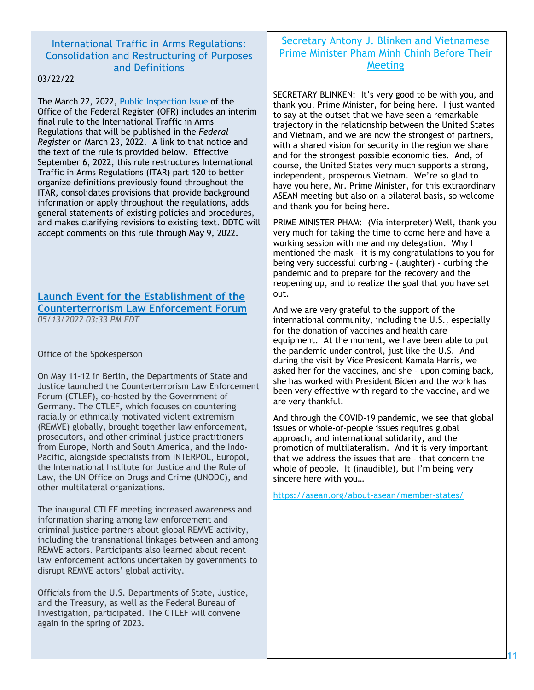#### International Traffic in Arms Regulations: Consolidation and Restructuring of Purposes and Definitions

#### 03/22/22

The March 22, 2022, Public Inspection Issue of the Office of the Federal Register (OFR) includes an interim final rule to the International Traffic in Arms Regulations that will be published in the *Federal Register* on March 23, 2022. A link to that notice and the text of the rule is provided below. Effective September 6, 2022, this rule restructures International Traffic in Arms Regulations (ITAR) part 120 to better organize definitions previously found throughout the ITAR, consolidates provisions that provide background information or apply throughout the regulations, adds general statements of existing policies and procedures, and makes clarifying revisions to existing text. DDTC will accept comments on this rule through May 9, 2022.

#### **Launch Event for the Establishment of the Counterterrorism Law Enforcement Forum** *05/13/2022 03:33 PM EDT*

#### Office of the Spokesperson

On May 11-12 in Berlin, the Departments of State and Justice launched the Counterterrorism Law Enforcement Forum (CTLEF), co-hosted by the Government of Germany. The CTLEF, which focuses on countering racially or ethnically motivated violent extremism (REMVE) globally, brought together law enforcement, prosecutors, and other criminal justice practitioners from Europe, North and South America, and the Indo-Pacific, alongside specialists from INTERPOL, Europol, the International Institute for Justice and the Rule of Law, the UN Office on Drugs and Crime (UNODC), and other multilateral organizations.

The inaugural CTLEF meeting increased awareness and information sharing among law enforcement and criminal justice partners about global REMVE activity, including the transnational linkages between and among REMVE actors. Participants also learned about recent law enforcement actions undertaken by governments to disrupt REMVE actors' global activity.

Officials from the U.S. Departments of State, Justice, and the Treasury, as well as the Federal Bureau of Investigation, participated. The CTLEF will convene again in the spring of 2023.

### Secretary Antony J. Blinken and Vietnamese Prime Minister Pham Minh Chinh Before Their **Meeting**

SECRETARY BLINKEN: It's very good to be with you, and thank you, Prime Minister, for being here. I just wanted to say at the outset that we have seen a remarkable trajectory in the relationship between the United States and Vietnam, and we are now the strongest of partners, with a shared vision for security in the region we share and for the strongest possible economic ties. And, of course, the United States very much supports a strong, independent, prosperous Vietnam. We're so glad to have you here, Mr. Prime Minister, for this extraordinary ASEAN meeting but also on a bilateral basis, so welcome and thank you for being here.

PRIME MINISTER PHAM: (Via interpreter) Well, thank you very much for taking the time to come here and have a working session with me and my delegation. Why I mentioned the mask – it is my congratulations to you for being very successful curbing – (laughter) – curbing the pandemic and to prepare for the recovery and the reopening up, and to realize the goal that you have set out.

And we are very grateful to the support of the international community, including the U.S., especially for the donation of vaccines and health care equipment. At the moment, we have been able to put the pandemic under control, just like the U.S. And during the visit by Vice President Kamala Harris, we asked her for the vaccines, and she – upon coming back, she has worked with President Biden and the work has been very effective with regard to the vaccine, and we are very thankful.

And through the COVID-19 pandemic, we see that global issues or whole-of-people issues requires global approach, and international solidarity, and the promotion of multilateralism. And it is very important that we address the issues that are – that concern the whole of people. It (inaudible), but I'm being very sincere here with you…

https://asean.org/about-asean/member-states/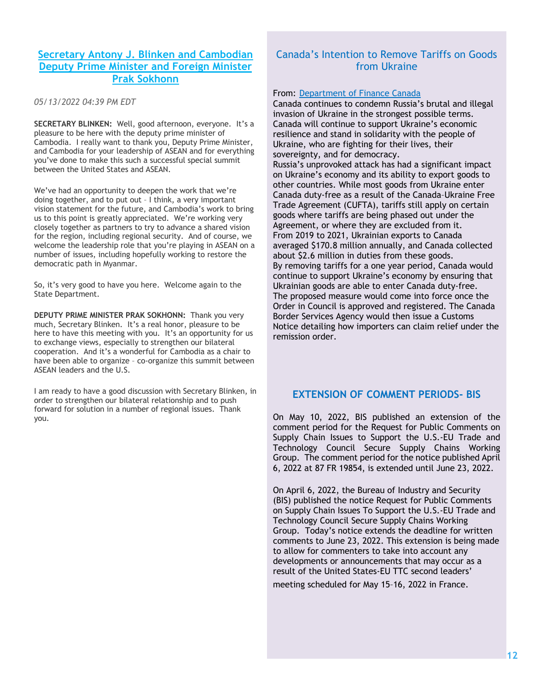### **Secretary Antony J. Blinken and Cambodian Deputy Prime Minister and Foreign Minister Prak Sokhonn**

*05/13/2022 04:39 PM EDT*

**SECRETARY BLINKEN:** Well, good afternoon, everyone. It's a pleasure to be here with the deputy prime minister of Cambodia. I really want to thank you, Deputy Prime Minister, and Cambodia for your leadership of ASEAN and for everything you've done to make this such a successful special summit between the United States and ASEAN.

We've had an opportunity to deepen the work that we're doing together, and to put out – I think, a very important vision statement for the future, and Cambodia's work to bring us to this point is greatly appreciated. We're working very closely together as partners to try to advance a shared vision for the region, including regional security. And of course, we welcome the leadership role that you're playing in ASEAN on a number of issues, including hopefully working to restore the democratic path in Myanmar.

So, it's very good to have you here. Welcome again to the State Department.

**DEPUTY PRIME MINISTER PRAK SOKHONN:** Thank you very much, Secretary Blinken. It's a real honor, pleasure to be here to have this meeting with you. It's an opportunity for us to exchange views, especially to strengthen our bilateral cooperation. And it's a wonderful for Cambodia as a chair to have been able to organize – co-organize this summit between ASEAN leaders and the U.S.

I am ready to have a good discussion with Secretary Blinken, in order to strengthen our bilateral relationship and to push forward for solution in a number of regional issues. Thank you.

# Canada's Intention to Remove Tariffs on Goods from Ukraine

#### From: Department of Finance Canada

Canada continues to condemn Russia's brutal and illegal invasion of Ukraine in the strongest possible terms. Canada will continue to support Ukraine's economic resilience and stand in solidarity with the people of Ukraine, who are fighting for their lives, their sovereignty, and for democracy.

Russia's unprovoked attack has had a significant impact on Ukraine's economy and its ability to export goods to other countries. While most goods from Ukraine enter Canada duty-free as a result of the Canada–Ukraine Free Trade Agreement (CUFTA), tariffs still apply on certain goods where tariffs are being phased out under the Agreement, or where they are excluded from it. From 2019 to 2021, Ukrainian exports to Canada averaged \$170.8 million annually, and Canada collected about \$2.6 million in duties from these goods. By removing tariffs for a one year period, Canada would continue to support Ukraine's economy by ensuring that Ukrainian goods are able to enter Canada duty-free. The proposed measure would come into force once the Order in Council is approved and registered. The Canada Border Services Agency would then issue a Customs Notice detailing how importers can claim relief under the remission order.

#### **EXTENSION OF COMMENT PERIODS- BIS**

On May 10, 2022, BIS published an extension of the comment period for the Request for Public Comments on Supply Chain Issues to Support the U.S.-EU Trade and Technology Council Secure Supply Chains Working Group. The comment period for the notice published April 6, 2022 at 87 FR 19854, is extended until June 23, 2022.

On April 6, 2022, the Bureau of Industry and Security (BIS) published the notice Request for Public Comments on Supply Chain Issues To Support the U.S.-EU Trade and Technology Council Secure Supply Chains Working Group. Today's notice extends the deadline for written comments to June 23, 2022. This extension is being made to allow for commenters to take into account any developments or announcements that may occur as a result of the United States-EU TTC second leaders' meeting scheduled for May 15–16, 2022 in France.